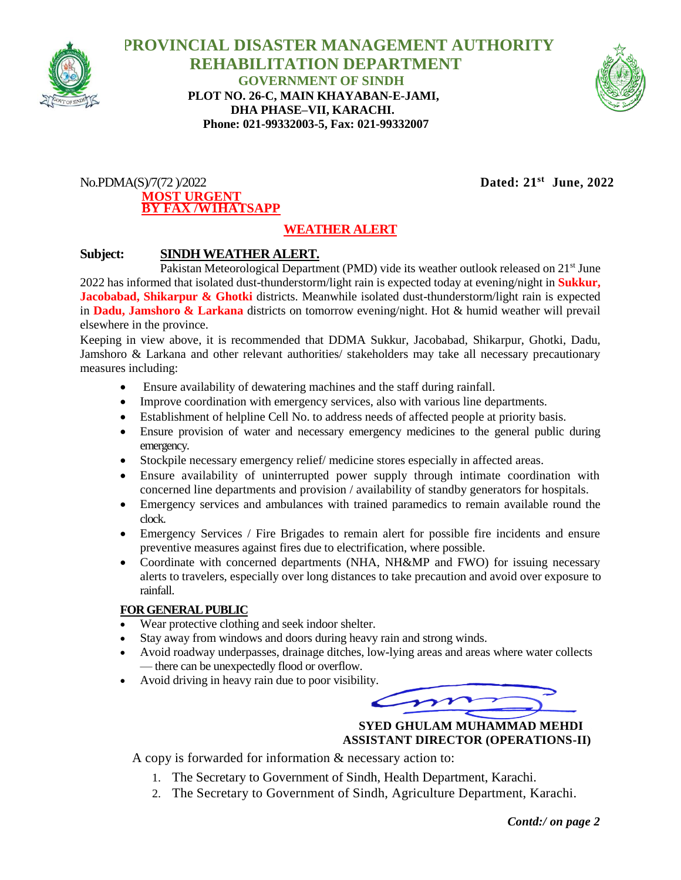

 **PROVINCIAL DISASTER MANAGEMENT AUTHORITY REHABILITATION DEPARTMENT GOVERNMENT OF SINDH PLOT NO. 26-C, MAIN KHAYABAN-E-JAMI, DHA PHASE–VII, KARACHI. Phone: 021-99332003-5, Fax: 021-99332007**



 $No.PDMA(S)/7(72)/2022$ **MOST URGENT BY FAX /W1HATSAPP** Dated:  $21^{st}$  June, 2022

# **WEATHER ALERT**

### **Subject: SINDH WEATHER ALERT.**

Pakistan Meteorological Department (PMD) vide its weather outlook released on 21<sup>st</sup> June 2022 has informed that isolated dust-thunderstorm/light rain is expected today at evening/night in **Sukkur, Jacobabad, Shikarpur & Ghotki** districts. Meanwhile isolated dust-thunderstorm/light rain is expected in **Dadu, Jamshoro & Larkana** districts on tomorrow evening/night. Hot & humid weather will prevail elsewhere in the province.

Keeping in view above, it is recommended that DDMA Sukkur, Jacobabad, Shikarpur, Ghotki, Dadu, Jamshoro & Larkana and other relevant authorities/ stakeholders may take all necessary precautionary measures including:

- Ensure availability of dewatering machines and the staff during rainfall.
- Improve coordination with emergency services, also with various line departments.
- Establishment of helpline Cell No. to address needs of affected people at priority basis.
- Ensure provision of water and necessary emergency medicines to the general public during emergency.
- Stockpile necessary emergency relief/ medicine stores especially in affected areas.
- Ensure availability of uninterrupted power supply through intimate coordination with concerned line departments and provision / availability of standby generators for hospitals.
- Emergency services and ambulances with trained paramedics to remain available round the clock.
- Emergency Services / Fire Brigades to remain alert for possible fire incidents and ensure preventive measures against fires due to electrification, where possible.
- Coordinate with concerned departments (NHA, NH&MP and FWO) for issuing necessary alerts to travelers, especially over long distances to take precaution and avoid over exposure to rainfall.

#### **FOR GENERAL PUBLIC**

- Wear protective clothing and seek indoor shelter.
- Stay away from windows and doors during heavy rain and strong winds.
- Avoid roadway underpasses, drainage ditches, low-lying areas and areas where water collects — there can be unexpectedly flood or overflow.
- Avoid driving in heavy rain due to poor visibility.

 **SYED GHULAM MUHAMMAD MEHDI ASSISTANT DIRECTOR (OPERATIONS-II)**

A copy is forwarded for information & necessary action to:

- 1. The Secretary to Government of Sindh, Health Department, Karachi.
- 2. The Secretary to Government of Sindh, Agriculture Department, Karachi.